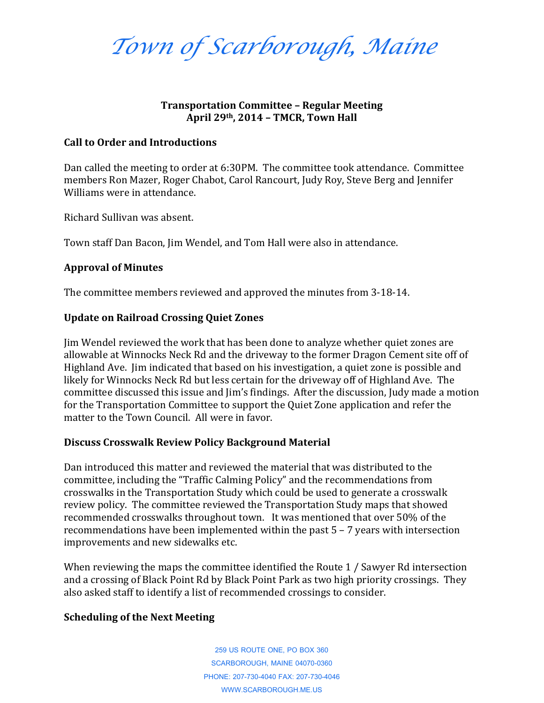*Town of Scarborough, Maine*

# **Transportation Committee – Regular Meeting April 29th, 2014 – TMCR, Town Hall**

### **Call to Order and Introductions**

Dan called the meeting to order at 6:30PM. The committee took attendance. Committee members Ron Mazer, Roger Chabot, Carol Rancourt, Judy Roy, Steve Berg and Jennifer Williams were in attendance.

Richard Sullivan was absent.

Town staff Dan Bacon, Jim Wendel, and Tom Hall were also in attendance.

## **Approval of Minutes**

The committee members reviewed and approved the minutes from 3-18-14.

## **Update on Railroad Crossing Quiet Zones**

Jim Wendel reviewed the work that has been done to analyze whether quiet zones are allowable at Winnocks Neck Rd and the driveway to the former Dragon Cement site off of Highland Ave. Jim indicated that based on his investigation, a quiet zone is possible and likely for Winnocks Neck Rd but less certain for the driveway off of Highland Ave. The committee discussed this issue and Jim's findings. After the discussion, Judy made a motion for the Transportation Committee to support the Quiet Zone application and refer the matter to the Town Council. All were in favor.

## **Discuss Crosswalk Review Policy Background Material**

Dan introduced this matter and reviewed the material that was distributed to the committee, including the "Traffic Calming Policy" and the recommendations from crosswalks in the Transportation Study which could be used to generate a crosswalk review policy. The committee reviewed the Transportation Study maps that showed recommended crosswalks throughout town. It was mentioned that over 50% of the recommendations have been implemented within the past 5 – 7 years with intersection improvements and new sidewalks etc.

When reviewing the maps the committee identified the Route 1 / Sawyer Rd intersection and a crossing of Black Point Rd by Black Point Park as two high priority crossings. They also asked staff to identify a list of recommended crossings to consider.

## **Scheduling of the Next Meeting**

259 US ROUTE ONE, PO BOX 360 SCARBOROUGH, MAINE 04070-0360 PHONE: 207-730-4040 FAX: 207-730-4046 WWW.SCARBOROUGH.ME.US